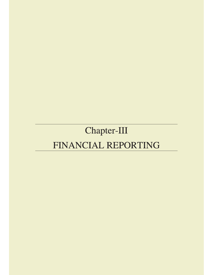# Chapter-III FINANCIAL REPORTING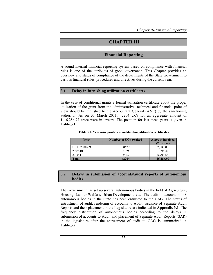## **CHAPTER III**

## **Financial Reporting**

A sound internal financial reporting system based on compliance with financial rules is one of the attributes of good governance. This Chapter provides an overview and status of compliance of the departments of the State Government to various financial rules, procedures and directives during the current year.

#### **3.1 Delay in furnishing utilization certificates**

In the case of conditional grants a formal utilization certificate about the proper utilization of the grant from the administrative, technical and financial point of view should be furnished to the Accountant General (A&E) by the sanctioning authority. As on 31 March 2011, 42204 UCs for an aggregate amount of  $\bar{\tau}$  16,286.97 crore were in arrears. The position for last three years is given in **Table.3.1**.

| Year          | Number of UCs awaited | <b>Amount involved</b><br>$(3\overline{3})$ crore) |
|---------------|-----------------------|----------------------------------------------------|
| Up to 2008-09 | 30622                 | 7.987.03                                           |
| 2009-10       | 8139                  | 1.396.40                                           |
| 2010-11       | 3443                  | 6.903.54                                           |
| Total         | 42204                 | 16,286.97                                          |

**Table 3.1: Year-wise position of outstanding utilization certificates** 

## **3.2 Delays in submission of accounts/audit reports of autonomous bodies**

The Government has set up several autonomous bodies in the field of Agriculture, Housing, Labour Welfare, Urban Development, etc. The audit of accounts of 48 autonomous bodies in the State has been entrusted to the CAG. The status of entrustment of audit, rendering of accounts to Audit, issuance of Separate Audit Reports and their placement in the Legislature are indicated in **Appendix 3.1**. The frequency distribution of autonomous bodies according to the delays in submission of accounts to Audit and placement of Separate Audit Reports (SAR) in the legislature after the entrustment of audit to CAG is summarized in **Table.3.2**.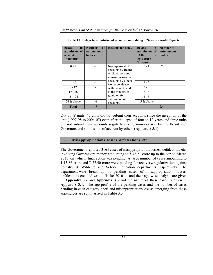| <b>Delays</b><br>in<br>submission of<br>accounts<br>(in months) | <b>Number</b><br>of <sub>1</sub><br>autonomous<br><b>bodies</b> | <b>Reasons for delay</b>                                                      | <b>Delays</b><br>in<br>submission of<br><b>SARs</b><br>in<br>legislature<br>(in years) | Number of<br>autonomous<br><b>bodies</b> |
|-----------------------------------------------------------------|-----------------------------------------------------------------|-------------------------------------------------------------------------------|----------------------------------------------------------------------------------------|------------------------------------------|
| $0 - 1$                                                         |                                                                 | Non-approval of<br>accounts by Board<br>of Governors and<br>non-submission of | $0 - 1$                                                                                | 02                                       |
| $1 - 6$                                                         | --                                                              | accounts by others.<br>Correspondence                                         | $1 - 2$                                                                                |                                          |
| $6 - 12$                                                        |                                                                 | with the units and                                                            | $2 - 3$                                                                                | 01                                       |
| $12 - 18$                                                       | 01                                                              | at the ministry is                                                            | $3 - 4$                                                                                |                                          |
| $18 - 24$                                                       |                                                                 | going on for<br>submission of                                                 | $4 - 5$                                                                                |                                          |
| 24 $\&$ above                                                   | 46                                                              | accounts.                                                                     | 5 & above                                                                              |                                          |
| <b>Total</b>                                                    | 47                                                              |                                                                               |                                                                                        | 0 <sub>3</sub>                           |

**Table 3.2: Delays in submission of accounts and tabling of Separate Audit Reports** 

Out of 48 units, 45 units did not submit their accounts since the inception of the unit (1997-98 to 2006-07) even after the lapse of four to 12 years and three units did not submit their accounts regularly due to non-approval by the Board's of Governors and submission of account by others (**Appendix 3.1**).

## **3.3 Misappropriations, losses, defalcations, etc.**

The Government reported 3164 cases of misappropriation, losses, defalcation, etc. involving Government money amounting to  $\bar{\tau}$  46.21 crore up to the period March 2011 on which final action was pending. A large number of cases amounting to  $\bar{\tau}$  13.86 crore and  $\bar{\tau}$  27.40 crore were pending for recovery/regularization against Forestry & Wild-life and School Education departments respectively. The department-wise break up of pending cases of misappropriation, losses, defalcations etc. and write-offs for 2010-11 and their age-wise analysis are given in **Appendix 3.2** and **Appendix 3.3** and the nature of these cases is given in **Appendix 3.4.** The age-profile of the pending cases and the number of cases pending in each category–theft and misappropriation/loss as emerging from these appendices are summarized in **Table 3.3.**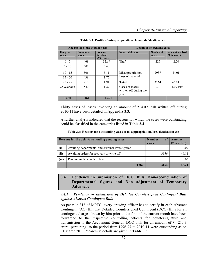| Age-profile of the pending cases |                    | Details of the pending cases              |                                                   |                    |                        |
|----------------------------------|--------------------|-------------------------------------------|---------------------------------------------------|--------------------|------------------------|
| Range in<br>years                | Number of<br>cases | <b>Amount</b><br>involved<br>$(5 \infty)$ | Nature of the case                                | Number of<br>cases | <b>Amount involved</b> |
| $0 - 5$                          | 468                | 32.69                                     | Theft                                             | 227                | 2.20                   |
| $5 - 10$                         | 501                | 3.48                                      |                                                   |                    |                        |
| $10 - 15$                        | 506                | 5.11                                      | Misappropriation/                                 | 2937               | 44.01                  |
| $15 - 20$                        | 439                | 1.75                                      | Loss of material                                  |                    |                        |
| $20 - 25$                        | 710                | 1.91                                      | <b>Total</b>                                      | 3164               | 46.21                  |
| $25 \&$ above                    | 540                | 1.27                                      | Cases of losses<br>written off during the<br>year | 30                 | $4.09$ lakh            |
| <b>Total</b>                     | 3164               | 46.21                                     |                                                   |                    |                        |

**Table 3.3: Profile of misappropriations, losses, defalcations, etc.** 

Thirty cases of losses involving an amount of  $\bar{\tau}$  4.09 lakh written off during 2010-11 have been detailed in **Appendix 3.3***.*

A further analysis indicated that the reasons for which the cases were outstanding could be classified in the categories listed in **Table 3.4**.

| Table 3.4: Reasons for outstanding cases of misappropriation, loss, defalcation etc. |  |  |  |
|--------------------------------------------------------------------------------------|--|--|--|
|--------------------------------------------------------------------------------------|--|--|--|

|       | Reasons for the delay/outstanding pending cases  |      | Amount<br>$(3\overline{5})$ in crore) |
|-------|--------------------------------------------------|------|---------------------------------------|
| (i)   | Awaiting departmental and criminal investigation |      | 0.07                                  |
| (i)   | Awaiting orders for recovery or write off        | 3156 | 46.11                                 |
| (iii) | Pending in the courts of law                     |      | 0.03                                  |
|       | <b>Total</b>                                     | 3164 | 46.21                                 |

## **3.4 Pendency in submission of DCC Bills, Non-reconciliation of Departmental figures and Non adjustment of Temporary Advances**

#### *3.4.1 Pendency in submission of Detailed Countersigned Contingent Bills against Abstract Contingent Bills*

As per rule 313 of MPTC, every drawing officer has to certify in each Abstract Contingent (AC) Bill that Detailed Countersigned Contingent (DCC) Bills for all contingent charges drawn by him prior to the first of the current month have been forwarded to the respective controlling officers for countersignature and transmission to the Accountant General. DCC bills for an amount of  $\bar{\tau}$  21.43 crore pertaining to the period from 1996-97 to 2010-11 were outstanding as on 31 March 2011. Year-wise details are given in **Table 3.5.**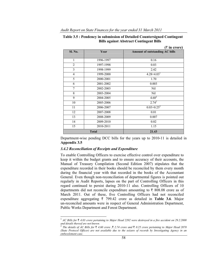|                |              | $($ ₹ in crore)                       |
|----------------|--------------|---------------------------------------|
| Sl. No.        | Year         | <b>Amount of outstanding AC bills</b> |
|                |              |                                       |
| $\mathbf{1}$   | 1996-1997    | 0.16                                  |
| $\overline{c}$ | 1997-1998    | 0.03                                  |
| 3              | 1998-1999    | 2.42                                  |
| $\overline{4}$ | 1999-2000    | $4.28 + 4.031$                        |
| 5              | 2000-2001    | 1.70                                  |
| 6              | 2001-2002    | 0.003                                 |
| $\overline{7}$ | 2002-2003    | Nil                                   |
| 8              | 2003-2004    | Nil                                   |
| 9              | 2004-2005    | $4.60^{2}$                            |
| 10             | 2005-2006    | $2.74^{2}$                            |
| 11             | 2006-2007    | $0.03 + 0.25^2$                       |
| 12             | 2007-2008    | 0.01                                  |
| 13             | 2008-2009    | 0.007                                 |
| 14             | 2009-2010    | 0.02                                  |
| 15             | 2010-2011    | 1.15                                  |
|                | <b>Total</b> | 21.43                                 |

| Table 3.5 : Pendency in submission of Detailed Countersigned Contingent |
|-------------------------------------------------------------------------|
| <b>Bills against Abstract Contingent Bills</b>                          |

Department-wise pending DCC bills for the years up to 2010-11 is detailed in **Appendix 3.5** 

#### *3.4.2 Reconciliation of Receipts and Expenditure*

To enable Controlling Officers to exercise effective control over expenditure to keep it within the budget grants and to ensure accuracy of their accounts, the Manual of Treasury Compilation (Second Edition 2007) stipulates that the expenditure recorded in their books should be reconciled by them every month during the financial year with that recorded in the books of the Accountant General. Even though non-reconciliation of departmental figures is pointed out regularly in Audit Reports, lapses on the part of Controlling Officers in this regard continued to persist during 2010-11 also. Controlling Officers of 10 departments did not reconcile expenditure amounting to  $\bar{\tau}$  808.08 crore as of March 2011. Out of these, five Controlling Officers had not reconciled expenditure aggregating  $\bar{\tau}$  799.42 crore as detailed in **Table 3.6**. Major un-reconciled amounts were in respect of General Administration Department, Public Works Department and Forest Department.

<sup>&</sup>lt;sup>1</sup> *AC Bills for*  $\bar{\ell}$  4.03 crore pertaining to Major Head 2202 were destroyed in a fire accident on 29.2.2000 *and details thereof are not known.*

<sup>2</sup> *The details of AC Bills for* ` *4.60 crore ,*` *2.74 crore and* ` *0.25 crore pertaining to Major Head 2070 (State Protocol Officer) are not available due to the seizure of records by Investigating Agency in an embezzlement case.*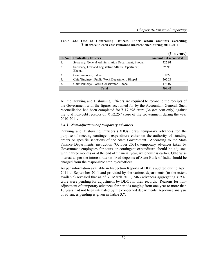#### **Table 3.6: List of Controlling Officers under whom amounts exceeding**  ` **10 crore in each case remained un-reconciled during 2010-2011**

|                  |                                                              | $(3\overline{5})$ in crore)  |
|------------------|--------------------------------------------------------------|------------------------------|
| Sl. No.          | <b>Controlling Officers</b>                                  | <b>Amount not reconciled</b> |
| 1.               | Secretary, General Administration Department, Bhopal         | 327.91                       |
| 2.               | Secretary, Law and Legislative Affairs Department,<br>Bhopal | 25.99                        |
| 3.               | Commissioner, Indore                                         | 10.22                        |
| $\overline{4}$ . | Chief Engineer, Public Work Department, Bhopal               | 262.23                       |
| 5.               | Chief Principal Forest Conservator, Bhopal                   | 173.07                       |
|                  | <b>Total</b>                                                 | 799.42                       |

All the Drawing and Disbursing Officers are required to reconcile the receipts of the Government with the figures accounted for by the Accountant General. Such reconciliation had been completed for  $\bar{\tau}$  17,698 crore (34 *per cent* only) against the total non-debt receipts of  $\bar{\tau}$  52,257 crore of the Government during the year 2010-2011*.*

#### *3.4.3 Non-adjustment of temporary advances*

Drawing and Disbursing Officers (DDOs) draw temporary advances for the purpose of meeting contingent expenditure either on the authority of standing orders or specific sanctions of the State Government. According to the State Finance Departments' instruction (October 2001), temporary advances taken by Government employees for tours or contingent expenditure should be adjusted within three months or at the end of financial year, whichever is earlier. Otherwise interest as per the interest rate on fixed deposits of State Bank of India should be charged from the responsible employee/officer.

As per information available in Inspection Reports of DDOs audited during April 2011 to September 2011 and provided by the various departments (to the extent available) revealed that as of 31 March 2011, 2463 advances aggregating  $\bar{\tau}$  9.43 crore were pending for adjustment by DDOs in their records. Reasons for nonadjustment of temporary advances for periods ranging from one year to more than 10 years had not been intimated by the concerned departments. Age-wise analysis of advances pending is given in **Table 3.7.**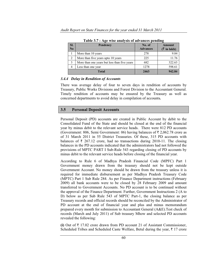| SI.                     | <b>Pendency</b>                              | No. of          | <b>Amount</b>          |
|-------------------------|----------------------------------------------|-----------------|------------------------|
| N <sub>0</sub>          |                                              | <b>Advances</b> | $(\bar{\tau}$ in lakh) |
|                         | More than 10 years                           | 278             | 9.84                   |
| 2                       | More than five years upto 10 years           | 225             | 11.76                  |
| 3                       | More than one years but less than five years | 682             | 322.63                 |
| Less than one year<br>4 |                                              | 1278            | 598.61                 |
| <b>Total</b>            |                                              | 2463            | 942.84                 |

**Table 3.7 : Age wise analysis of advances pending** 

#### *3.4.4 Delay in Rendition of Accounts*

There was average delay of four to seven days in rendition of accounts by Treasury, Public Works Divisions and Forest Division to the Accountant General. Timely rendition of accounts may be ensured by the Treasury as well as concerned departments to avoid delay in compilation of accounts*.*

### **3.5 Personal Deposit Accounts**

Personal Deposit (PD) accounts are created in Public Account by debit to the Consolidated Fund of the State and should be closed at the end of the financial year by minus debit to the relevant service heads. There were 812 PD accounts (Government: 806, Semi Government: 06) having balances of  $\bar{\tau}$  2,062.78 crore as of 31 March 2011 in 55 District Treasuries. Of these, 315 PD accounts with balances of  $\bar{\tau}$  267.12 crore, had no transactions during 2010-11. The closing balances in the PD accounts indicated that the administrators had not followed the provisions of MPTC PART I Sub-Rule 543 regarding closing of PD accounts by minus debit to the relevant service heads before closing of the financial year.

According to Rule 6 of Madhya Pradesh Financial Code (MPFC) Part 1 Government money drawn from the treasury should not be kept outside Government Account. No money should be drawn from the treasury unless it is required for immediate disbursement as per Madhya Pradesh Treasury Code (MPTC) Part 1 Sub Rule 284. As per Finance Department instructions (February 2009) all bank accounts were to be closed by 28 February 2009 and amount transferred to Government Accounts. No PD account is to be continued without the approval of the Finance Department. Further, Government Instructions 2 (A to D) below as per Sub Rule 543 of MPTC Part-1, the closing balance as per Treasury records and official records should be reconciled by the Administrator of PD account at the end of financial year and plus and minus memorandum prepared every month for submission to Accountant General (A&E).Test check of records (March and July 2011) of Sub treasury Mhow and selected PD accounts revealed the following:

**(i)** Out of  $\bar{\tau}$  17.02 crore drawn from PD account 21 of Assistant Commissioner, Scheduled Tribes and Scheduled Caste Welfare, Betul during the year,  $\bar{\tau}$  17 crore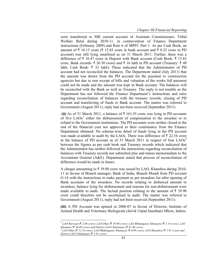were transferred to SBI current account of Assistant Commissioner, Tribal Welfare Betul during 2010-11, in contravention of Finance Department instructions (February 2009) and Rule 6 of MPFC Part 1. As per Cash Book, an amount of  $\bar{\tau}$  16.15 crore ( $\bar{\tau}$  15.83 crore in bank account and  $\bar{\tau}$  0.32 crore in PD account) was still lying unutilised as on 31 March 2011. Further, there was a difference of  $\bar{\tau}$  10.47 crore in Deposit with Bank account (Cash Book:  $\bar{\tau}$  15.83) crore, Bank records:  $\bar{\tau}$  26.30 crore) and  $\bar{\tau}$  16 lakh in PD account (Treasury:  $\bar{\tau}$  49 lakh, Cash Book:  $\bar{\tau}$  33 lakh). These indicated that the Administrator of PD account had not reconciled the balances. The Department stated (July 2011) that the amount was drawn from the PD account for the payment to construction agencies but due to non receipt of bills and valuation of the works full payment could not be made and the amount was kept in Bank account. The balances will be reconciled with the Bank as well as Treasury. The reply is not tenable as the Department has not followed the Finance Department's instructions and rules regarding reconciliation of balances with the treasury records, closing of PD account and transferring of funds to Bank account. The matter was referred to Government (August 2011), reply had not been received (September 2011).

**(ii)** As of 31 March 2011, a balance of  $\bar{\tau}$  161.93 crore was lying in PD accounts of five LAOs<sup>3</sup> either for disbursement of compensation to the awardee or to refund to the Government institutions. The PD accounts were neither closed at the end of the financial year nor approval to their continuance from the Finance Department obtained. No scheme-wise detail of funds lying in the PD account was made available to audit by the LAOs. There was difference of  $\bar{\tau}$  22.54 crore in the balance of PD account as of 31 March 2011 in respect of four  $LAOS<sup>4</sup>$ between the figures as per cash book and Treasury records which indicated that the Administrator has neither followed the instructions regarding reconciliation of balances with Treasury records nor submitted plus and minus memorandum to the Accountant General (A&E). Department stated that process of reconciliation of difference would be made in future.

A cheque amounting to  $\overline{\tau}$  39.90 crore was issued by LAO, Khandwa during 2010-11 in favour of Branch manager, Bank of India, Branch Mundi from PD account G-14 with the instructions to make payment as per awardees list after opening of Bank accounts of the awardees. No records relating to disbursed amount to awardees, balance lying for disbursement and reasons for non-disbursement were made available to audit. The factual position relating to the amount of  $\bar{\tau}$  39.90 crore could therefore not be ascertained in audit. The matter was referred to Government (August 2011), reply had not been received (September 2011).

**(iii)** A PD Account was opened in 2006-07 in favour of Director, Institute of Animal Health and Veterinary Biologicals (Jaivik Utpad Sansthan) Mhow, Indore.

<sup>3</sup> *LAO Barwani (*` *2.00 crore), LAO Dhar (*` *58.90 crore), LAO Bhikangaon, Khargone (*` *3.14 crore), LAO Khandwa* (₹ 36.09 crore) and District LAO Chhatarpur (₹ 61.80 crore)

*LAO Dhar (*` *11.53 crore), LAO Bhikangaon, Khargone (*` *0.09 crore), LAO Khandwa (*` *5.91 crore) and District LAO Chhatarpur (*` *5.01 crore)*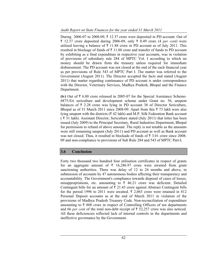During 2006-07 to 2008-09,  $\bar{\tau}$  12.37 crore were deposited in PD account. Out of  $\bar{\tau}$  12.37 crore deposited during 2006-09, only  $\bar{\tau}$  0.49 crore (4 *per cent*) were utilised leaving a balance of  $\bar{\tau}$  11.88 crore in PD account as of July 2011. This resulted in blockage of funds of  $\bar{\tau}$  11.88 crore and transfer of funds to PD account by exhibiting as a final expenditure in respective year accounts, was in violation of provisions of subsidiary rule 284 of MPTC Vol. I according to which no money should be drawn from the treasury unless required for immediate disbursement. The PD account was not closed at the end of the each financial year as per provisions of Rule 543 of MPTC Part I. The matter was referred to the Government (August 2011). The Director accepted the facts and stated (August 2011) that matter regarding continuance of PD account is under correspondence with the Director, Veterinary Services, Madhya Pradesh, Bhopal and the Finance Department.

**(iv)** Out of  $\bar{\tau}$  6.80 crore released in 2005-07 for the Special Assistance Scheme-6875-Eri sericulture and development scheme under Grant no. 56, unspent balances of  $\bar{\tau}$  2.28 crore was lying in PD account 38 of Director Sericulture, Bhopal as of 31 March 2011 since 2008-09. Apart from this  $\bar{\tau}$  73 lakh were also lying unspent with the districts ( $\bar{\tau}$  42 lakh) and M.P. Silk Federation Bank account  $($   $\bar{\tau}$  31 lakh). Assistant Director, Sericulture stated (July 2011) that letter has been issued (July 2009) to the Principal Secretary, Rural Industries Department, Bhopal for permission to refund of above amount. The reply is not tenable as the amounts were still remaining unspent (July 2011) and PD account as well as Bank account was not closed. Thus, it resulted in blockade of funds of  $\bar{\tau}$  3.01 crore since 2008-09 and non-compliance to provisions of Sub Rule 284 and 543 of MPTC Part-I.

## **3.6 Conclusion**

Forty two thousand two hundred four utilisation certificates in respect of grants for an aggregate amount of  $\bar{\tau}$  16,286.97 crore were awaited from grant sanctioning authorities. There was delay of 12 to 24 months and above, in submission of accounts by 47 autonomous bodies affecting their transparency and accountability. The Government's compliance towards disposal of cases of losses, misappropriations, etc. amounting to  $\bar{\tau}$  46.21 crore was deficient. Detailed Contingent bills for an amount of  $\bar{\tau}$  21.43 crore against Abstract Contingent bills for the period 1996 to 2011 were awaited.  $\bar{\tau}$  2,063 crore were retained in 812 Personal Deposit accounts as at the end of March 2011 in violation of the provisions of Madhya Pradesh Treasury Code. Non-reconciliation of expenditure amounting to  $\bar{\tau}$  808 crore in respect of Controlling Officers of ten departments and 66 *per cent* of the total non-debt receipt of  $\bar{\tau}$  52,257 crore was also noticed. All these deficiencies reflected lack of internal controls in the departments and ineffective governance by the Government.